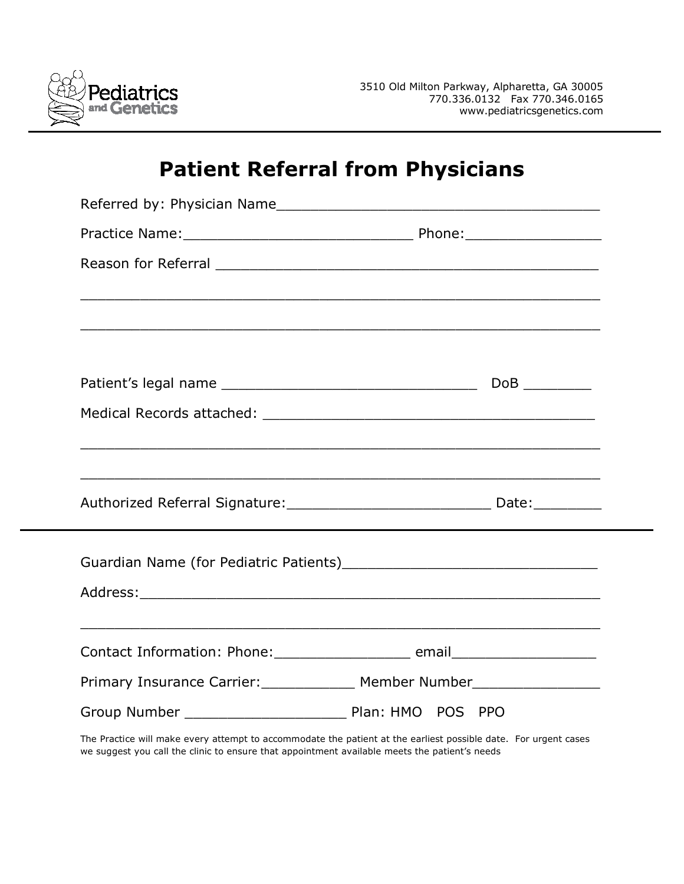

## **Patient Referral from Physicians**

| Referred by: Physician Name                                                      |
|----------------------------------------------------------------------------------|
|                                                                                  |
|                                                                                  |
|                                                                                  |
|                                                                                  |
|                                                                                  |
|                                                                                  |
|                                                                                  |
|                                                                                  |
|                                                                                  |
|                                                                                  |
|                                                                                  |
|                                                                                  |
|                                                                                  |
|                                                                                  |
| Contact Information: Phone: ______________________ email________________________ |
| Primary Insurance Carrier: Member Number                                         |
|                                                                                  |
|                                                                                  |

The Practice will make every attempt to accommodate the patient at the earliest possible date. For urgent cases we suggest you call the clinic to ensure that appointment available meets the patient's needs